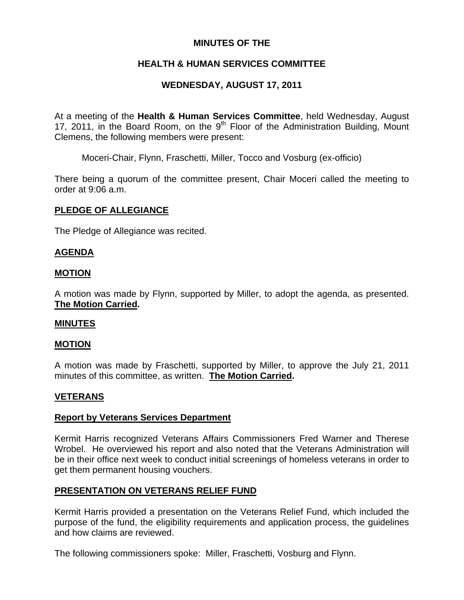# **MINUTES OF THE**

# **HEALTH & HUMAN SERVICES COMMITTEE**

# **WEDNESDAY, AUGUST 17, 2011**

At a meeting of the **Health & Human Services Committee**, held Wednesday, August 17, 2011, in the Board Room, on the  $9<sup>th</sup>$  Floor of the Administration Building, Mount Clemens, the following members were present:

Moceri-Chair, Flynn, Fraschetti, Miller, Tocco and Vosburg (ex-officio)

There being a quorum of the committee present, Chair Moceri called the meeting to order at 9:06 a.m.

### **PLEDGE OF ALLEGIANCE**

The Pledge of Allegiance was recited.

### **AGENDA**

### **MOTION**

A motion was made by Flynn, supported by Miller, to adopt the agenda, as presented. **The Motion Carried.** 

### **MINUTES**

### **MOTION**

A motion was made by Fraschetti, supported by Miller, to approve the July 21, 2011 minutes of this committee, as written. **The Motion Carried.** 

## **VETERANS**

### **Report by Veterans Services Department**

Kermit Harris recognized Veterans Affairs Commissioners Fred Warner and Therese Wrobel. He overviewed his report and also noted that the Veterans Administration will be in their office next week to conduct initial screenings of homeless veterans in order to get them permanent housing vouchers.

## **PRESENTATION ON VETERANS RELIEF FUND**

Kermit Harris provided a presentation on the Veterans Relief Fund, which included the purpose of the fund, the eligibility requirements and application process, the guidelines and how claims are reviewed.

The following commissioners spoke: Miller, Fraschetti, Vosburg and Flynn.